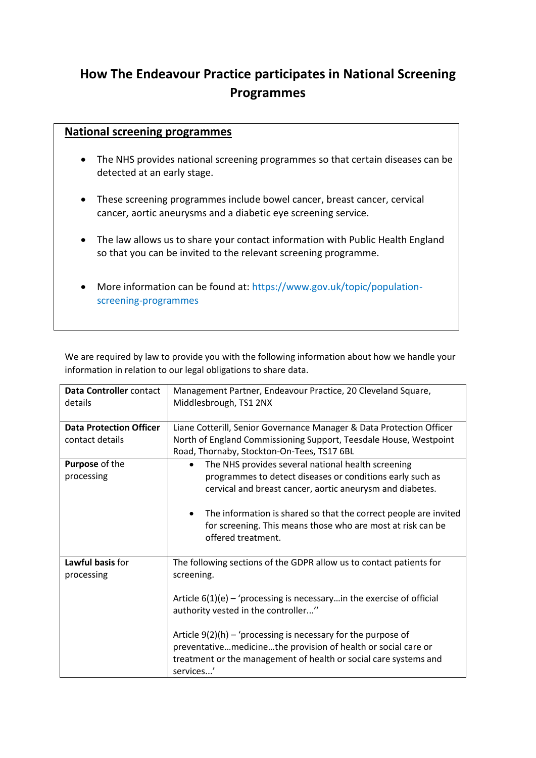## **How The Endeavour Practice participates in National Screening Programmes**

## **National screening programmes**

- The NHS provides national screening programmes so that certain diseases can be detected at an early stage.
- These screening programmes include bowel cancer, breast cancer, cervical cancer, aortic aneurysms and a diabetic eye screening service.
- The law allows us to share your contact information with Public Health England so that you can be invited to the relevant screening programme.
- More information can be found at: [https://www.gov.uk/topic/population](https://www.gov.uk/topic/population-screening-programmes)[screening-programmes](https://www.gov.uk/topic/population-screening-programmes)

We are required by law to provide you with the following information about how we handle your information in relation to our legal obligations to share data.

| Data Controller contact        | Management Partner, Endeavour Practice, 20 Cleveland Square,             |
|--------------------------------|--------------------------------------------------------------------------|
| details                        | Middlesbrough, TS1 2NX                                                   |
|                                |                                                                          |
| <b>Data Protection Officer</b> | Liane Cotterill, Senior Governance Manager & Data Protection Officer     |
| contact details                | North of England Commissioning Support, Teesdale House, Westpoint        |
|                                | Road, Thornaby, Stockton-On-Tees, TS17 6BL                               |
| Purpose of the                 | The NHS provides several national health screening<br>$\bullet$          |
| processing                     | programmes to detect diseases or conditions early such as                |
|                                | cervical and breast cancer, aortic aneurysm and diabetes.                |
|                                |                                                                          |
|                                | The information is shared so that the correct people are invited         |
|                                | for screening. This means those who are most at risk can be              |
|                                | offered treatment.                                                       |
|                                |                                                                          |
| Lawful basis for               | The following sections of the GDPR allow us to contact patients for      |
| processing                     | screening.                                                               |
|                                |                                                                          |
|                                | Article $6(1)(e)$ – 'processing is necessary in the exercise of official |
|                                | authority vested in the controller"                                      |
|                                |                                                                          |
|                                | Article $9(2)(h)$ – 'processing is necessary for the purpose of          |
|                                | preventativemedicinethe provision of health or social care or            |
|                                | treatment or the management of health or social care systems and         |
|                                | services'                                                                |